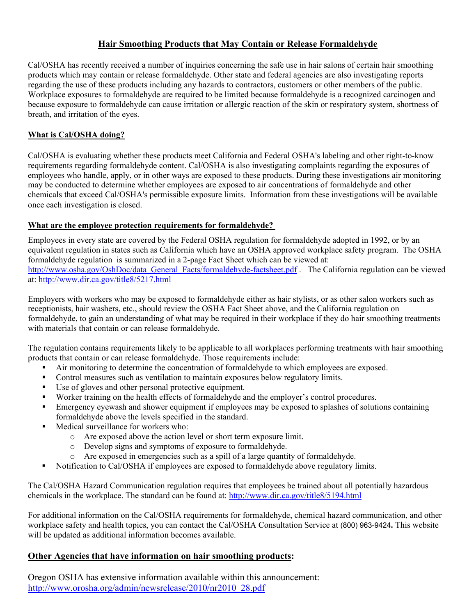### **Hair Smoothing Products that May Contain or Release Formaldehyde**

Cal/OSHA has recently received a number of inquiries concerning the safe use in hair salons of certain hair smoothing products which may contain or release formaldehyde. Other state and federal agencies are also investigating reports regarding the use of these products including any hazards to contractors, customers or other members of the public. Workplace exposures to formaldehyde are required to be limited because formaldehyde is a recognized carcinogen and because exposure to formaldehyde can cause irritation or allergic reaction of the skin or respiratory system, shortness of breath, and irritation of the eyes.

### **What is Cal/OSHA doing?**

Cal/OSHA is evaluating whether these products meet California and Federal OSHA's labeling and other right-to-know requirements regarding formaldehyde content. Cal/OSHA is also investigating complaints regarding the exposures of employees who handle, apply, or in other ways are exposed to these products. During these investigations air monitoring may be conducted to determine whether employees are exposed to air concentrations of formaldehyde and other chemicals that exceed Cal/OSHA's permissible exposure limits. Information from these investigations will be available once each investigation is closed.

#### **What are the employee protection requirements for formaldehyde?**

Employees in every state are covered by the Federal OSHA regulation for formaldehyde adopted in 1992, or by an equivalent regulation in states such as California which have an OSHA approved workplace safety program. The OSHA formaldehyde regulation is summarized in a 2-page Fact Sheet which can be viewed at: [http://www.osha.gov/OshDoc/data\\_General\\_Facts/formaldehyde-factsheet.pdf](http://www.osha.gov/OshDoc/data_General_Facts/formaldehyde-factsheet.pdf) . The California regulation can be viewed at: <http://www.dir.ca.gov/title8/5217.html>

Employers with workers who may be exposed to formaldehyde either as hair stylists, or as other salon workers such as receptionists, hair washers, etc., should review the OSHA Fact Sheet above, and the California regulation on formaldehyde, to gain an understanding of what may be required in their workplace if they do hair smoothing treatments with materials that contain or can release formaldehyde.

The regulation contains requirements likely to be applicable to all workplaces performing treatments with hair smoothing products that contain or can release formaldehyde. Those requirements include:

- Air monitoring to determine the concentration of formaldehyde to which employees are exposed.
- Control measures such as ventilation to maintain exposures below regulatory limits.
- Use of gloves and other personal protective equipment.
- Worker training on the health effects of formaldehyde and the employer's control procedures.
- **Emergency eyewash and shower equipment if employees may be exposed to splashes of solutions containing** formaldehyde above the levels specified in the standard.
- Medical surveillance for workers who:
	- o Are exposed above the action level or short term exposure limit.
	- o Develop signs and symptoms of exposure to formaldehyde.
	- o Are exposed in emergencies such as a spill of a large quantity of formaldehyde.
- Notification to Cal/OSHA if employees are exposed to formaldehyde above regulatory limits.

The Cal/OSHA Hazard Communication regulation requires that employees be trained about all potentially hazardous chemicals in the workplace. The standard can be found at: <http://www.dir.ca.gov/title8/5194.html>

For additional information on the Cal/OSHA requirements for formaldehyde, chemical hazard communication, and other workplace safety and health topics, you can contact the Cal/OSHA Consultation Service at (800) 963-9424**.** This website will be updated as additional information becomes available.

#### **Other Agencies that have information on hair smoothing products:**

Oregon OSHA has extensive information available within this announcement: [http://www.orosha.org/admin/newsrelease/2010/nr2010\\_28.pdf](http://www.orosha.org/admin/newsrelease/2010/nr2010_28.pdf)